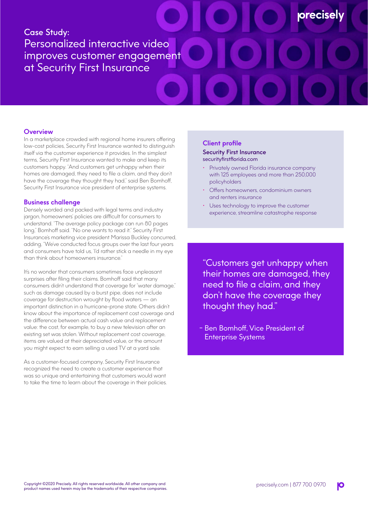# Case Study: Personalized interactive video improves customer engagement at Security First Insurance

# **Overview**

In a marketplace crowded with regional home insurers offering low-cost policies, Security First Insurance wanted to distinguish itself via the customer experience it provides. In the simplest terms, Security First Insurance wanted to make and keep its customers happy. "And customers get unhappy when their homes are damaged, they need to file a claim, and they don't have the coverage they thought they had," said Ben Bomhoff, Security First Insurance vice president of enterprise systems.

#### **Business challenge**

Densely worded and packed with legal terms and industry jargon, homeowners' policies are difficult for consumers to understand. "The average policy package can run 80 pages long," Bomhoff said. "No one wants to read it." Security First Insurance's marketing vice president Marissa Buckley concurred, adding, "We've conducted focus groups over the last four years and consumers have told us, 'I'd rather stick a needle in my eye than think about homeowners insurance."

It's no wonder that consumers sometimes face unpleasant surprises after filing their claims. Bomhoff said that many consumers didn't understand that coverage for "water damage," such as damage caused by a burst pipe, does not include coverage for destruction wrought by flood waters — an important distinction in a hurricane-prone state. Others didn't know about the importance of replacement cost coverage and the difference between actual cash value and replacement value: the cost, for example, to buy a new television after an existing set was stolen. Without replacement cost coverage, items are valued at their depreciated value, or the amount you might expect to earn selling a used TV at a yard sale.

As a customer-focused company, Security First Insurance recognized the need to create a customer experience that was so unique and entertaining that customers would want to take the time to learn about the coverage in their policies.

#### **Client profile**

#### Security First Insurance securityfirstflorida.com

• Privately owned Florida insurance company with 125 employees and more than 250,000 policyholders

**orecisel**'

- Offers homeowners, condominium owners and renters insurance
- Uses technology to improve the customer experience, streamline catastrophe response

"Customers get unhappy when their homes are damaged, they need to file a claim, and they don't have the coverage they thought they had."

- Ben Bomhoff, Vice President of Enterprise Systems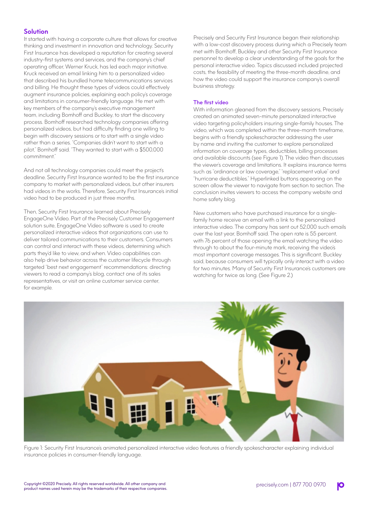### **Solution**

It started with having a corporate culture that allows for creative thinking and investment in innovation and technology. Security First Insurance has developed a reputation for creating several industry-first systems and services, and the company's chief operating officer, Werner Kruck, has led each major initiative. Kruck received an email linking him to a personalized video that described his bundled home telecommunications services and billing. He thought these types of videos could effectively augment insurance policies, explaining each policy's coverage and limitations in consumer-friendly language. He met with key members of the company's executive management team, including Bomhoff and Buckley, to start the discovery process. Bomhoff researched technology companies offering personalized videos, but had difficulty finding one willing to begin with discovery sessions or to start with a single video rather than a series. "Companies didn't want to start with a pilot," Bomhoff said. "They wanted to start with a \$500,000 commitment."

And not all technology companies could meet the project's deadline. Security First Insurance wanted to be the first insurance company to market with personalized videos, but other insurers had videos in the works. Therefore, Security First Insurance's initial video had to be produced in just three months.

Then, Security First Insurance learned about Precisely EngageOne Video. Part of the Precisely Customer Engagement solution suite, EngageOne Video software is used to create personalized interactive videos that organizations can use to deliver tailored communications to their customers. Consumers can control and interact with these videos, determining which parts they'd like to view, and when. Video capabilities can also help drive behavior across the customer lifecycle through targeted "best next engagement" recommendations: directing viewers to read a company's blog, contact one of its sales representatives, or visit an online customer service center, for example.

Precisely and Security First Insurance began their relationship with a low-cost discovery process during which a Precisely team met with Bomhoff, Buckley and other Security First Insurance personnel to develop a clear understanding of the goals for the personal interactive video. Topics discussed included projected costs, the feasibility of meeting the three-month deadline, and how the video could support the insurance company's overall business strategy.

#### The first video

With information gleaned from the discovery sessions, Precisely created an animated seven-minute personalized interactive video targeting policyholders insuring single-family houses. The video, which was completed within the three-month timeframe, begins with a friendly spokescharacter addressing the user by name and inviting the customer to explore personalized information on coverage types, deductibles, billing processes and available discounts (see Figure 1). The video then discusses the viewer's coverage and limitations. It explains insurance terms such as "ordinance or law coverage," "replacement value" and "hurricane deductibles." Hyperlinked buttons appearing on the screen allow the viewer to navigate from section to section. The conclusion invites viewers to access the company website and home safety blog.

New customers who have purchased insurance for a singlefamily home receive an email with a link to the personalized interactive video. The company has sent out 52,000 such emails over the last year, Bomhoff said. The open rate is 55 percent, with 76 percent of those opening the email watching the video through to about the four-minute mark, receiving the video's most important coverage messages. This is significant, Buckley said, because consumers will typically only interact with a video for two minutes. Many of Security First Insurance's customers are watching for twice as long. (See Figure 2.)



Figure 1: Security First Insurance's animated personalized interactive video features a friendly spokescharacter explaining individual insurance policies in consumer-friendly language.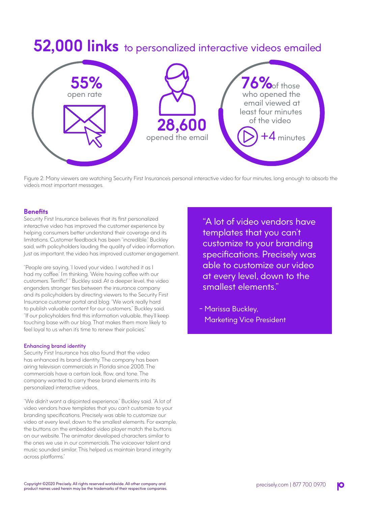# **52,000 links** to personalized interactive videos emailed



Figure 2: Many viewers are watching Security First Insurance's personal interactive video for four minutes, long enough to absorb the video's most important messages.

# **Benefits**

Security First Insurance believes that its first personalized interactive video has improved the customer experience by helping consumers better understand their coverage and its limitations. Customer feedback has been "incredible," Buckley said, with policyholders lauding the quality of video information. Just as important, the video has improved customer engagement.

"People are saying, 'I loved your video. I watched it as I had my coffee.' I'm thinking, 'We're having coffee with our customers. Terrific!' " Buckley said. At a deeper level, the video engenders stronger ties between the insurance company and its policyholders by directing viewers to the Security First Insurance customer portal and blog. "We work really hard to publish valuable content for our customers," Buckley said. "If our policyholders find this information valuable, they'll keep touching base with our blog. That makes them more likely to feel loyal to us when it's time to renew their policies."

#### Enhancing brand identity

Security First Insurance has also found that the video has enhanced its brand identity. The company has been airing television commercials in Florida since 2008. The commercials have a certain look, flow, and tone. The company wanted to carry these brand elements into its personalized interactive videos.

"We didn't want a disjointed experience," Buckley said. "A lot of video vendors have templates that you can't customize to your branding specifications. Precisely was able to customize our video at every level, down to the smallest elements. For example, the buttons on the embedded video player match the buttons on our website. The animator developed characters similar to the ones we use in our commercials. The voiceover talent and music sounded similar. This helped us maintain brand integrity across platforms."

"A lot of video vendors have templates that you can't customize to your branding specifications. Precisely was able to customize our video at every level, down to the smallest elements."

- Marissa Buckley, Marketing Vice President